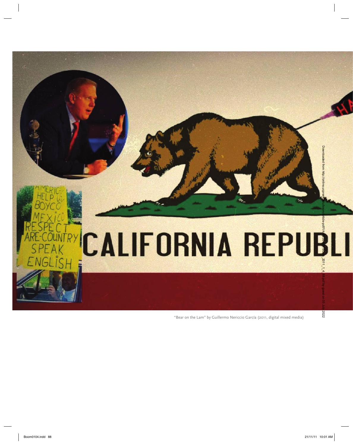

"Bear on the Lam" by Guillermo Nericcio García (2011, digital mixed media)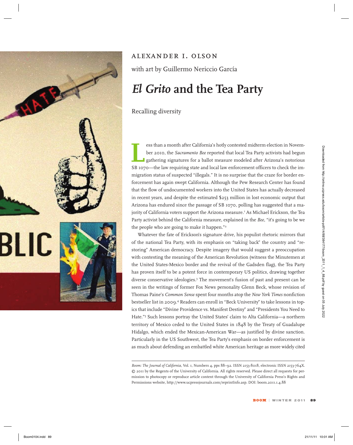



## *alexander i. olson*

with art by Guillermo Nericcio García

## *El Grito* **and the Tea Party**

Recalling diversity

Eless than a month after California's hotly contested midterm election in November 2010, the *Sacramento Bee* reported that local Tea Party activists had begun gathering signatures for a ballot measure modeled after Arizon ber 2010, the *Sacramento Bee* reported that local Tea Party activists had begun gathering signatures for a ballot measure modeled after Arizona's notorious SB 1070—the law requiring state and local law enforcement officers to check the immigration status of suspected "illegals." It is no surprise that the craze for border enforcement has again swept California. Although the Pew Research Center has found that the flow of undocumented workers into the United States has actually decreased in recent years, and despite the estimated \$253 million in lost economic output that Arizona has endured since the passage of SB 1070, polling has suggested that a majority of California voters support the Arizona measure.<sup>1</sup> As Michael Erickson, the Tea Party activist behind the California measure, explained in the *Bee*, "it's going to be we the people who are going to make it happen."<sup>2</sup>

Whatever the fate of Erickson's signature drive, his populist rhetoric mirrors that of the national Tea Party, with its emphasis on "taking back" the country and "restoring" American democracy. Despite imagery that would suggest a preoccupation with contesting the meaning of the American Revolution (witness the Minutemen at the United States-Mexico border and the revival of the Gadsden flag), the Tea Party has proven itself to be a potent force in contemporary US politics, drawing together diverse conservative ideologies.3 The movement's fusion of past and present can be seen in the writings of former Fox News personality Glenn Beck, whose revision of Thomas Paine's *Common Sense* spent four months atop the *New York Times* nonfiction bestseller list in 2009.4 Readers can enroll in "Beck University" to take lessons in topics that include "Divine Providence vs. Manifest Destiny" and "Presidents You Need to Hate."5 Such lessons portray the United States' claim to Alta California—a northern territory of Mexico ceded to the United States in 1848 by the Treaty of Guadalupe Hidalgo, which ended the Mexican-American War—as justified by divine sanction. Particularly in the US Southwest, the Tea Party's emphasis on border enforcement is as much about defending an embattled white American heritage as more widely cited Boom 2021. The matrix of the state of the state of the state of the state of the state of the state of the state of the state of the state of the state of the state of the state of the state of the state of the state of t

*Boom: The Journal of California,* Vol. 1, Numbers 4, pps 88–92. ISSN 2153-8018, electronic ISSN 2153-764X. © 2011 by the Regents of the University of California. All rights reserved. Please direct all requests for permission to photocopy or reproduce article content through the University of California Press's Rights and Permissions website, http://www.ucpressjournals.com/reprintInfo.asp. DOI: boom.2011.1.4.88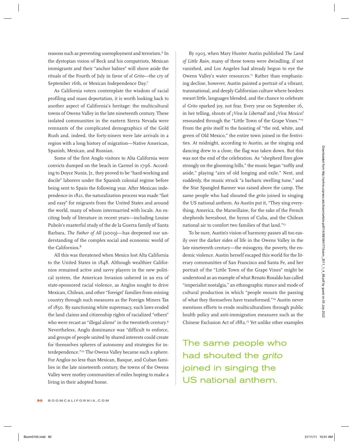reasons such as preventing unemployment and terrorism.<sup>6</sup> In the dystopian vision of Beck and his compatriots, Mexican immigrants and their "anchor babies" will shove aside the rituals of the Fourth of July in favor of *el Grito*—the cry of September 16th, or Mexican Independence Day.7

As California voters contemplate the wisdom of racial profiling and mass deportation, it is worth looking back to another aspect of California's heritage: the multicultural towns of Owens Valley in the late nineteenth century. These isolated communities in the eastern Sierra Nevada were remnants of the complicated demographics of the Gold Rush and, indeed, the forty-niners were late arrivals in a region with a long history of migration—Native American, Spanish, Mexican, and Russian.

Some of the first Anglo visitors to Alta California were convicts dumped on the beach in Carmel in 1796. According to Doyce Nunis, Jr., they proved to be "hard-working and docile" laborers under the Spanish colonial regime before being sent to Spain the following year. After Mexican independence in 1821, the naturalization process was made "fast and easy" for migrants from the United States and around the world, many of whom intermarried with locals. An exciting body of literature in recent years—including Louise Pubols's masterful study of the de la Guerra family of Santa Barbara, *The Father of All* (2009)—has deepened our understanding of the complex social and economic world of the Californios $8$ 

All this was threatened when Mexico lost Alta California to the United States in 1848. Although wealthier Californios remained active and savvy players in the new political system, the American Invasion ushered in an era of state-sponsored racial violence, as Anglos sought to drive Mexican, Chilean, and other "foreign" families from mining country through such measures as the Foreign Miners Tax of 1850. By sanctioning white supremacy, such laws eroded the land claims and citizenship rights of racialized "others" who were recast as "illegal aliens" in the twentieth century.<sup>9</sup> Nevertheless, Anglo dominance was "difficult to enforce, and groups of people united by shared interests could create for themselves spheres of autonomy and strategies for interdependence."10 The Owens Valley became such a sphere. For Anglos no less than Mexican, Basque, and Cuban families in the late nineteenth century, the towns of the Owens Valley were motley communities of exiles hoping to make a living in their adopted home. Spacing and the contents of the transition of the different interest. The content of the content of the content of the content of the content of the content of the content of the content of the content of the content of t

By 1903, when Mary Hunter Austin published *The Land of Little Rain*, many of these towns were dwindling, if not vanished, and Los Angeles had already begun to eye the Owens Valley's water resources.<sup>11</sup> Rather than emphasizing decline, however, Austin painted a portrait of a vibrant, transnational, and deeply Californian culture where borders meant little, languages blended, and the chance to celebrate *el Grito* sparked joy, not fear. Every year on September 16, in her telling, shouts of *¡Viva la Libertad!* and *¡Viva Mexico!*  resounded through the "Little Town of the Grape Vines."12 From the *grito* itself to the hoisting of "the red, white, and green of Old Mexico," the entire town joined in the festivities. At midnight, according to Austin, as the singing and dancing drew to a close, the flag was taken down. But this was not the end of the celebration. As "shepherd fires glow strongly on the glooming hills," the music began "softly and aside," playing "airs of old longing and exile." Next, and suddenly, the music struck "a barbaric swelling tune," and the Star Spangled Banner was raised above the camp. The same people who had shouted the *grito* joined in singing the US national anthem. As Austin put it, "They sing everything, America, the Marseillaise, for the sake of the French shepherds hereabout, the hymn of Cuba, and the Chilean national air to comfort two families of that land."13

To be sure, Austin's vision of harmony passes all too easily over the darker sides of life in the Owens Valley in the late nineteenth century—the misogyny, the poverty, the endemic violence. Austin herself escaped this world for the literary communities of San Francisco and Santa Fe, and her portrait of the "Little Town of the Grape Vines" might be understood as an example of what Renato Rosaldo has called "imperialist nostalgia," an ethnographic stance and mode of cultural production in which "people mourn the passing of what they themselves have transformed."14 Austin never mentions efforts to erode multiculturalism through public health policy and anti-immigration measures such as the Chinese Exclusion Act of 1882.15 Yet unlike other examples

The same people who had shouted the grito joined in singing the US national anthem.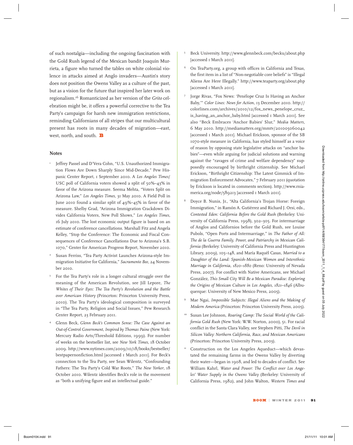of such nostalgia—including the ongoing fascination with the Gold Rush legend of the Mexican bandit Joaquín Murrieta, a figure who turned the tables on white colonial violence in attacks aimed at Anglo invaders—Austin's story does not position the Owens Valley as a culture of the past, but as a vision for the future that inspired her later work on regionalism.16 Romanticized as her version of the *Grito* celebration might be, it offers a powerful corrective to the Tea Party's campaign for harsh new immigration restrictions, reminding Californians of all stripes that our multicultural present has roots in many decades of migration—east, west, north, and south. **B** 

## **Notes**

- Jeffrey Passel and D'Vera Cohn, "U.S. Unauthorized Immigration Flows Are Down Sharply Since Mid-Decade," Pew Hispanic Center Report, 1 September 2010. A *Los Angeles Times*/ USC poll of California voters showed a split of 50%–43% in favor of the Arizona measure. Seema Mehta, "Voters Split on Arizona Law," *Los Angeles Times*, 31 May 2010. A Field Poll in June 2010 found a similar split of 49%–45% in favor of the measure. Shelby Grad, "Arizona Immigration Crackdown Divides California Voters, New Poll Shows," *Los Angeles Times,* 16 July 2010. The lost economic output figure is based on an estimate of conference cancellations. Marshall Fitz and Angela Kelley, "Stop the Conference: The Economic and Fiscal Consequences of Conference Cancellations Due to Arizona's S.B. 1070," Center for American Progress Report, November 2010.
- Susan Ferriss, "Tea Party Activist Launches Arizona-style Immigration Initiative for California," *Sacramento Bee*, 24 November 2010.
- <sup>3</sup> For the Tea Party's role in a longer cultural struggle over the meaning of the American Revolution, see Jill Lepore, *The Whites of Their Eyes: The Tea Party's Revolution and the Battle over American History* (Princeton: Princeton University Press, 2010). The Tea Party's ideological composition is surveyed in "The Tea Party, Religion and Social Issues," Pew Research Center Report, 23 February 2011.
- <sup>4</sup> Glenn Beck, *Glenn Beck's Common Sense: The Case Against an Out-of-Control Government, Inspired by Thomas Paine* (New York: Mercury Radio Arts/Threshold Editions, 1999). For number of weeks on the bestseller list, see *New York Times*, 18 October 2009. [http://www.nytimes.com/2009/10/18/books/bestseller/](http://www.nytimes.com/2009/10/18/books/bestseller/bestpapernonfiction.html) [bestpapernonfiction.html](http://www.nytimes.com/2009/10/18/books/bestseller/bestpapernonfiction.html) [accessed 1 March 2011]. For Beck's connection to the Tea Party, see Sean Wilentz, "Confounding Fathers: The Tea Party's Cold War Roots," *The New Yorker*, 18 October 2010. Wilentz identifies Beck's role in the movement as "both a unifying figure and an intellectual guide."
- <sup>5</sup> Beck University.<http://www.glennbeck.com/becku/about.php> [accessed 1 March 2011].
- <sup>6</sup> On TeaParty.org, a group with offices in California and Texas, the first item in a list of "Non-negotiable core beliefs" is "Illegal Aliens Are Here Illegally." <http://www.teaparty.org/about.php> [accessed 1 March 2011].
- <sup>7</sup> Jorge Rivas, "Fox News: 'Penélope Cruz Is Having an Anchor Baby,'" *Color Lines: News for Action*, 13 December 2010. [http://](http://colorlines.com/archives/2010/12/fox_news_penelope_cruz_is_having_an_anchor_baby.html) [colorlines.com/archives/2010/12/fox\\_news\\_penelope\\_cruz\\_](http://colorlines.com/archives/2010/12/fox_news_penelope_cruz_is_having_an_anchor_baby.html) [is\\_having\\_an\\_anchor\\_baby.html](http://colorlines.com/archives/2010/12/fox_news_penelope_cruz_is_having_an_anchor_baby.html) [accessed 1 March 2011]. See also "Beck Embraces 'Anchor Babies' Slur," *Media Matters*, 6 May 2010. <http://mediamatters.org/mmtv/201005060042> [accessed 1 March 2011]. Michael Erickson, sponsor of the SB 1070-style measure in California, has styled himself as a voice of reason by opposing state legislative attacks on "anchor babies"—even while arguing for judicial solutions and warning against the "ravages of crime and welfare dependency" supposedly encouraged by birthright citizenship. See Michael Erickson, "Birthright Citizenship: The Latest Gimmick of Immigration Enforcement Advocates," 7 February 2011 (quotation by Erickson is located in comments section). [http://www.rnia](http://www.rniamerica.org/node/589213)[merica.org/node/589213](http://www.rniamerica.org/node/589213) [accessed 1 March 2011].
- <sup>8</sup> Doyce B. Nunis, Jr., "Alta California's Trojan Horse: Foreign Immigration," in Ramón A. Gutiérrez and Richard J. Orsi, eds., *Contested Eden: California Before the Gold Rush* (Berkeley: University of California Press, 1998), 302–305. For intermarriage of Anglos and Californios before the Gold Rush, see Louise Pubols, "Open Ports and Intermarriage," in *The Father of All: The de la Guerra Family, Power, and Patriarchy in Mexican California* (Berkeley: University of California Press and Huntington Library, 2009), 105–148, and María Raquél Casas, *Married to a Daughter of the Land: Spanish-Mexican Women and Interethnic Marriage in California, 1820–1880* (Reno: University of Nevada Press, 2007). For conflict with Native Americans, see Michael González, *This Small City Will Be a Mexican Paradise: Exploring the Origins of Mexican Culture in Los Angeles, 1821–1846* (Albuquerque: University of New Mexico Press, 2005). Notes<br>
Notes from the state and by vertical and the state of the state of the state of the state of the state of the state of the state of the state of the state of the state of the state of the state of the state of the
	- <sup>9</sup> Mae Ngai, *Impossible Subjects: Illegal Aliens and the Making of Modern America* (Princeton: Princeton University Press, 2005).
	- Susan Lee Johnson, *Roaring Camp: The Social World of the California Gold Rush* (New York: W.W. Norton, 2000), 51. For racial conflict in the Santa Clara Valley, see Stephen Pitti, *The Devil in Silicon Valley: Northern California, Race, and Mexican Americans* (Princeton: Princeton University Press, 2003).
	- Construction on the Los Angeles Aqueduct—which devastated the remaining farms in the Owens Valley by diverting their water—began in 1908, and led to decades of conflict. See William Kahrl, *Water and Power: The Conflict over Los Angeles' Water Supply in the Owens Valley* (Berkeley: University of California Press, 1982), and John Walton, *Western Times and*